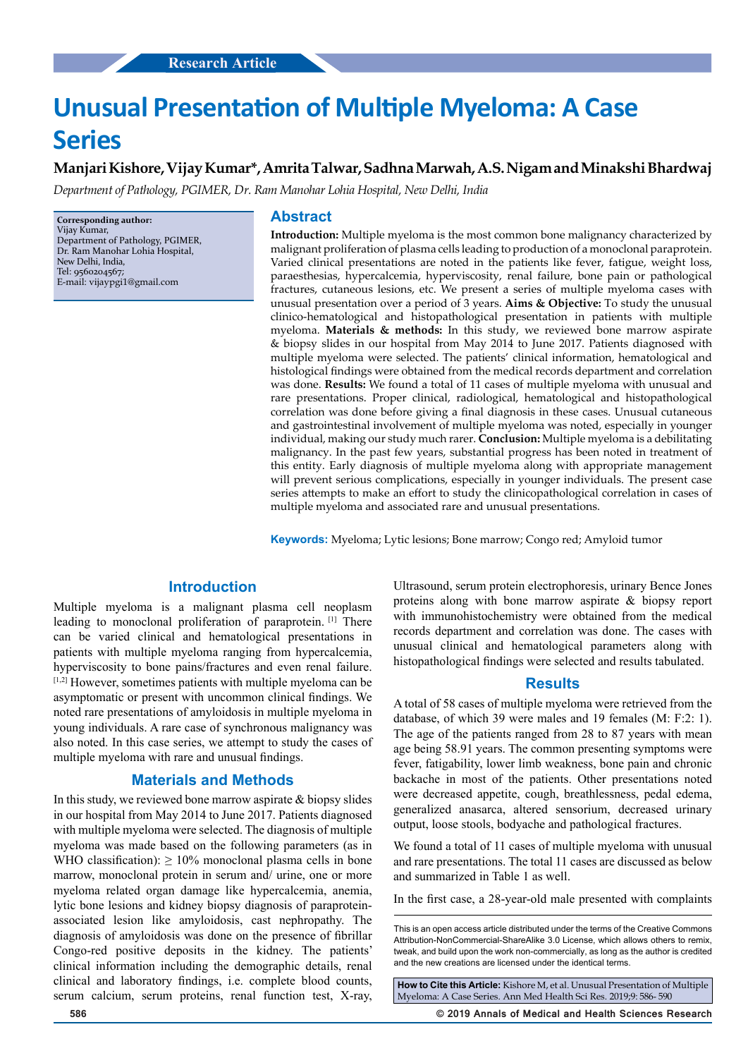# **Unusual Presentation of Multiple Myeloma: A Case Series**

# **Manjari Kishore, Vijay Kumar\*, Amrita Talwar, Sadhna Marwah, A.S. Nigam and Minakshi Bhardwaj**

*Department of Pathology, PGIMER, Dr. Ram Manohar Lohia Hospital, New Delhi, India*

**Corresponding author:** Vijay Kumar, Department of Pathology, PGIMER, Dr. Ram Manohar Lohia Hospital, New Delhi, India, Tel: 9560204567; E-mail: vijaypgi1@gmail.com

#### **Abstract**

**Introduction:** Multiple myeloma is the most common bone malignancy characterized by malignant proliferation of plasma cells leading to production of a monoclonal paraprotein. Varied clinical presentations are noted in the patients like fever, fatigue, weight loss, paraesthesias, hypercalcemia, hyperviscosity, renal failure, bone pain or pathological fractures, cutaneous lesions, etc. We present a series of multiple myeloma cases with unusual presentation over a period of 3 years. **Aims & Objective:** To study the unusual clinico-hematological and histopathological presentation in patients with multiple myeloma. **Materials & methods:** In this study, we reviewed bone marrow aspirate & biopsy slides in our hospital from May 2014 to June 2017. Patients diagnosed with multiple myeloma were selected. The patients' clinical information, hematological and histological findings were obtained from the medical records department and correlation was done. **Results:** We found a total of 11 cases of multiple myeloma with unusual and rare presentations. Proper clinical, radiological, hematological and histopathological correlation was done before giving a final diagnosis in these cases. Unusual cutaneous and gastrointestinal involvement of multiple myeloma was noted, especially in younger individual, making our study much rarer. **Conclusion:** Multiple myeloma is a debilitating malignancy. In the past few years, substantial progress has been noted in treatment of this entity. Early diagnosis of multiple myeloma along with appropriate management will prevent serious complications, especially in younger individuals. The present case series attempts to make an effort to study the clinicopathological correlation in cases of multiple myeloma and associated rare and unusual presentations.

**Keywords:** Myeloma; Lytic lesions; Bone marrow; Congo red; Amyloid tumor

# **Introduction**

Multiple myeloma is a malignant plasma cell neoplasm leading to monoclonal proliferation of paraprotein. [1] There can be varied clinical and hematological presentations in patients with multiple myeloma ranging from hypercalcemia, hyperviscosity to bone pains/fractures and even renal failure. [1,2] However, sometimes patients with multiple myeloma can be asymptomatic or present with uncommon clinical findings. We noted rare presentations of amyloidosis in multiple myeloma in young individuals. A rare case of synchronous malignancy was also noted. In this case series, we attempt to study the cases of multiple myeloma with rare and unusual findings.

#### **Materials and Methods**

In this study, we reviewed bone marrow aspirate  $\&$  biopsy slides in our hospital from May 2014 to June 2017. Patients diagnosed with multiple myeloma were selected. The diagnosis of multiple myeloma was made based on the following parameters (as in WHO classification):  $> 10\%$  monoclonal plasma cells in bone marrow, monoclonal protein in serum and/ urine, one or more myeloma related organ damage like hypercalcemia, anemia, lytic bone lesions and kidney biopsy diagnosis of paraproteinassociated lesion like amyloidosis, cast nephropathy. The diagnosis of amyloidosis was done on the presence of fibrillar Congo-red positive deposits in the kidney. The patients' clinical information including the demographic details, renal clinical and laboratory findings, i.e. complete blood counts, serum calcium, serum proteins, renal function test, X-ray, Ultrasound, serum protein electrophoresis, urinary Bence Jones proteins along with bone marrow aspirate & biopsy report with immunohistochemistry were obtained from the medical records department and correlation was done. The cases with unusual clinical and hematological parameters along with histopathological findings were selected and results tabulated.

#### **Results**

A total of 58 cases of multiple myeloma were retrieved from the database, of which 39 were males and 19 females (M: F:2: 1). The age of the patients ranged from 28 to 87 years with mean age being 58.91 years. The common presenting symptoms were fever, fatigability, lower limb weakness, bone pain and chronic backache in most of the patients. Other presentations noted were decreased appetite, cough, breathlessness, pedal edema, generalized anasarca, altered sensorium, decreased urinary output, loose stools, bodyache and pathological fractures.

We found a total of 11 cases of multiple myeloma with unusual and rare presentations. The total 11 cases are discussed as below and summarized in Table 1 as well.

In the first case, a 28-year-old male presented with complaints

**How to Cite this Article:** Kishore M, et al. Unusual Presentation of Multiple Myeloma: A Case Series. Ann Med Health Sci Res. 2019;9: 586- 590

**586 © 2019 Annals of Medical and Health Sciences Research** 

This is an open access article distributed under the terms of the Creative Commons Attribution-NonCommercial-ShareAlike 3.0 License, which allows others to remix, tweak, and build upon the work non‑commercially, as long as the author is credited and the new creations are licensed under the identical terms.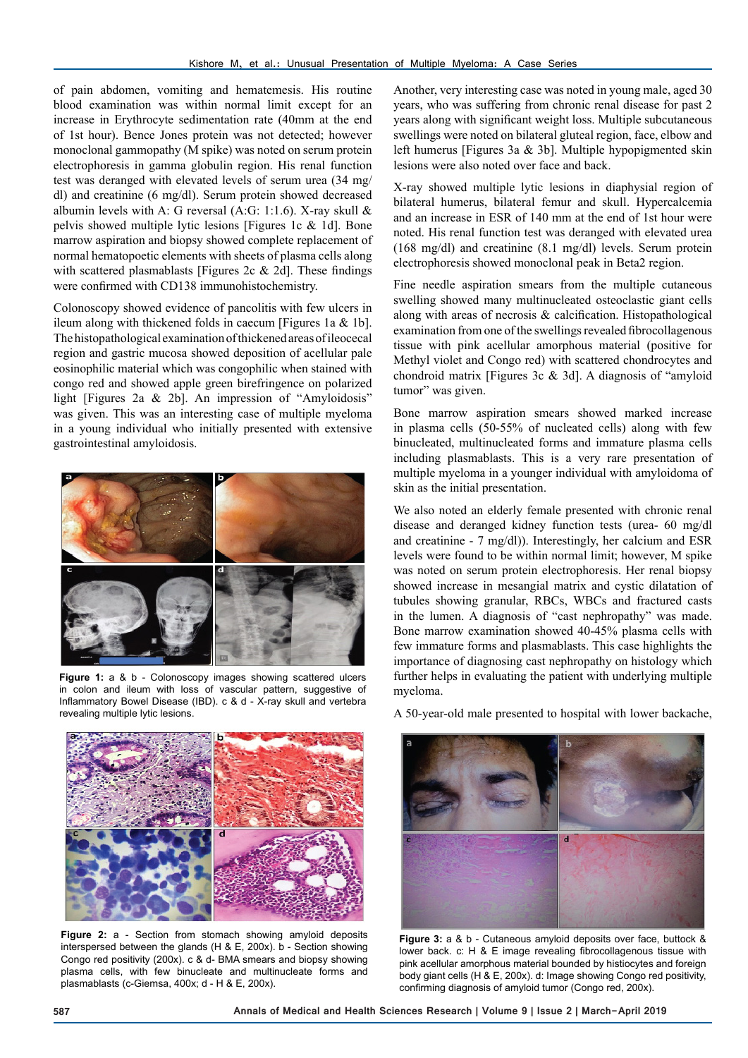of pain abdomen, vomiting and hematemesis. His routine blood examination was within normal limit except for an increase in Erythrocyte sedimentation rate (40mm at the end of 1st hour). Bence Jones protein was not detected; however monoclonal gammopathy (M spike) was noted on serum protein electrophoresis in gamma globulin region. His renal function test was deranged with elevated levels of serum urea (34 mg/ dl) and creatinine (6 mg/dl). Serum protein showed decreased albumin levels with A: G reversal (A:G: 1:1.6). X-ray skull  $\&$ pelvis showed multiple lytic lesions [Figures 1c & 1d]. Bone marrow aspiration and biopsy showed complete replacement of normal hematopoetic elements with sheets of plasma cells along with scattered plasmablasts [Figures 2c & 2d]. These findings were confirmed with CD138 immunohistochemistry.

Colonoscopy showed evidence of pancolitis with few ulcers in ileum along with thickened folds in caecum [Figures 1a & 1b]. The histopathological examination of thickened areas of ileocecal region and gastric mucosa showed deposition of acellular pale eosinophilic material which was congophilic when stained with congo red and showed apple green birefringence on polarized light [Figures 2a & 2b]. An impression of "Amyloidosis" was given. This was an interesting case of multiple myeloma in a young individual who initially presented with extensive gastrointestinal amyloidosis.



Figure 1: a & b - Colonoscopy images showing scattered ulcers in colon and ileum with loss of vascular pattern, suggestive of Inflammatory Bowel Disease (IBD). c & d - X-ray skull and vertebra revealing multiple lytic lesions.



**Figure 2:** a - Section from stomach showing amyloid deposits interspersed between the glands (H & E, 200x). b - Section showing Congo red positivity (200x). c & d- BMA smears and biopsy showing plasma cells, with few binucleate and multinucleate forms and plasmablasts (c-Giemsa, 400x; d - H & E, 200x).

Another, very interesting case was noted in young male, aged 30 years, who was suffering from chronic renal disease for past 2 years along with significant weight loss. Multiple subcutaneous swellings were noted on bilateral gluteal region, face, elbow and left humerus [Figures 3a & 3b]. Multiple hypopigmented skin lesions were also noted over face and back.

X-ray showed multiple lytic lesions in diaphysial region of bilateral humerus, bilateral femur and skull. Hypercalcemia and an increase in ESR of 140 mm at the end of 1st hour were noted. His renal function test was deranged with elevated urea (168 mg/dl) and creatinine (8.1 mg/dl) levels. Serum protein electrophoresis showed monoclonal peak in Beta2 region.

Fine needle aspiration smears from the multiple cutaneous swelling showed many multinucleated osteoclastic giant cells along with areas of necrosis & calcification. Histopathological examination from one of the swellings revealed fibrocollagenous tissue with pink acellular amorphous material (positive for Methyl violet and Congo red) with scattered chondrocytes and chondroid matrix [Figures 3c & 3d]. A diagnosis of "amyloid tumor" was given.

Bone marrow aspiration smears showed marked increase in plasma cells (50-55% of nucleated cells) along with few binucleated, multinucleated forms and immature plasma cells including plasmablasts. This is a very rare presentation of multiple myeloma in a younger individual with amyloidoma of skin as the initial presentation.

We also noted an elderly female presented with chronic renal disease and deranged kidney function tests (urea- 60 mg/dl and creatinine - 7 mg/dl)). Interestingly, her calcium and ESR levels were found to be within normal limit; however, M spike was noted on serum protein electrophoresis. Her renal biopsy showed increase in mesangial matrix and cystic dilatation of tubules showing granular, RBCs, WBCs and fractured casts in the lumen. A diagnosis of "cast nephropathy" was made. Bone marrow examination showed 40-45% plasma cells with few immature forms and plasmablasts. This case highlights the importance of diagnosing cast nephropathy on histology which further helps in evaluating the patient with underlying multiple myeloma.

A 50-year-old male presented to hospital with lower backache,



**Figure 3:** a & b - Cutaneous amyloid deposits over face, buttock & lower back. c: H & E image revealing fibrocollagenous tissue with pink acellular amorphous material bounded by histiocytes and foreign body giant cells (H & E, 200x). d: Image showing Congo red positivity, confirming diagnosis of amyloid tumor (Congo red, 200x).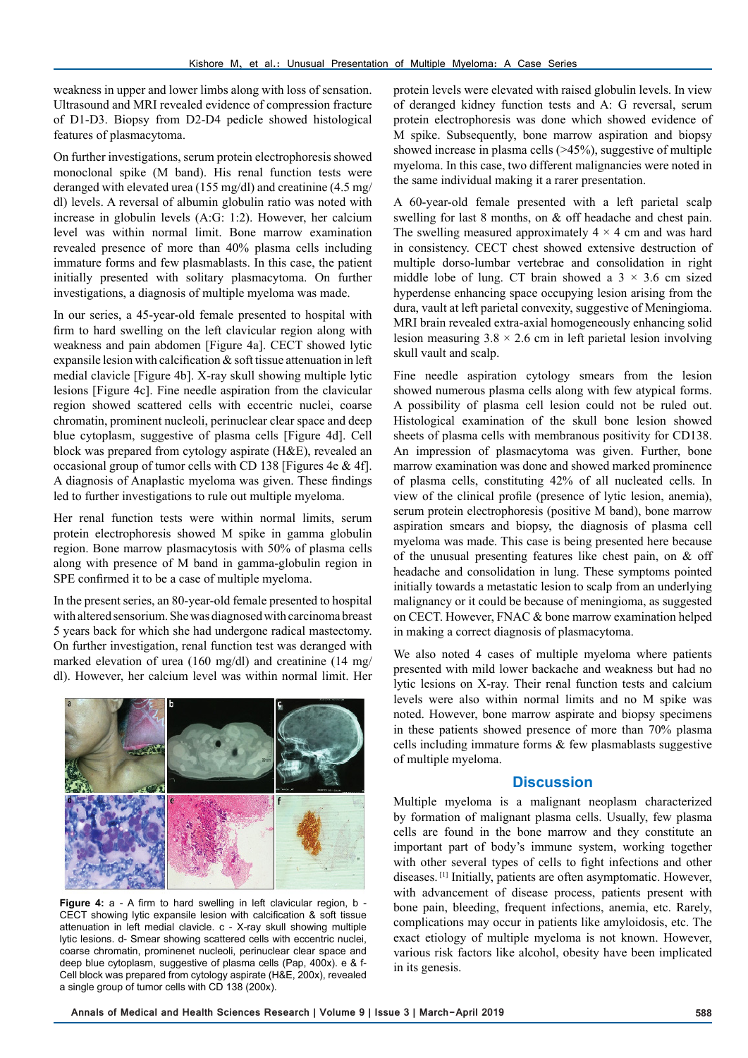weakness in upper and lower limbs along with loss of sensation. Ultrasound and MRI revealed evidence of compression fracture of D1-D3. Biopsy from D2-D4 pedicle showed histological features of plasmacytoma.

On further investigations, serum protein electrophoresis showed monoclonal spike (M band). His renal function tests were deranged with elevated urea (155 mg/dl) and creatinine (4.5 mg/ dl) levels. A reversal of albumin globulin ratio was noted with increase in globulin levels (A:G: 1:2). However, her calcium level was within normal limit. Bone marrow examination revealed presence of more than 40% plasma cells including immature forms and few plasmablasts. In this case, the patient initially presented with solitary plasmacytoma. On further investigations, a diagnosis of multiple myeloma was made.

In our series, a 45-year-old female presented to hospital with firm to hard swelling on the left clavicular region along with weakness and pain abdomen [Figure 4a]. CECT showed lytic expansile lesion with calcification  $\&$  soft tissue attenuation in left medial clavicle [Figure 4b]. X-ray skull showing multiple lytic lesions [Figure 4c]. Fine needle aspiration from the clavicular region showed scattered cells with eccentric nuclei, coarse chromatin, prominent nucleoli, perinuclear clear space and deep blue cytoplasm, suggestive of plasma cells [Figure 4d]. Cell block was prepared from cytology aspirate (H&E), revealed an occasional group of tumor cells with CD 138 [Figures 4e & 4f]. A diagnosis of Anaplastic myeloma was given. These findings led to further investigations to rule out multiple myeloma.

Her renal function tests were within normal limits, serum protein electrophoresis showed M spike in gamma globulin region. Bone marrow plasmacytosis with 50% of plasma cells along with presence of M band in gamma-globulin region in SPE confirmed it to be a case of multiple myeloma.

In the present series, an 80-year-old female presented to hospital with altered sensorium. She was diagnosed with carcinoma breast 5 years back for which she had undergone radical mastectomy. On further investigation, renal function test was deranged with marked elevation of urea (160 mg/dl) and creatinine (14 mg/ dl). However, her calcium level was within normal limit. Her



**Figure 4:** a - A firm to hard swelling in left clavicular region, b - CECT showing lytic expansile lesion with calcification & soft tissue attenuation in left medial clavicle. c - X-ray skull showing multiple lytic lesions. d- Smear showing scattered cells with eccentric nuclei, coarse chromatin, prominenet nucleoli, perinuclear clear space and deep blue cytoplasm, suggestive of plasma cells (Pap, 400x). e & f-Cell block was prepared from cytology aspirate (H&E, 200x), revealed a single group of tumor cells with CD 138 (200x).

protein levels were elevated with raised globulin levels. In view of deranged kidney function tests and A: G reversal, serum protein electrophoresis was done which showed evidence of M spike. Subsequently, bone marrow aspiration and biopsy showed increase in plasma cells (>45%), suggestive of multiple myeloma. In this case, two different malignancies were noted in the same individual making it a rarer presentation.

A 60-year-old female presented with a left parietal scalp swelling for last 8 months, on & off headache and chest pain. The swelling measured approximately  $4 \times 4$  cm and was hard in consistency. CECT chest showed extensive destruction of multiple dorso-lumbar vertebrae and consolidation in right middle lobe of lung. CT brain showed a  $3 \times 3.6$  cm sized hyperdense enhancing space occupying lesion arising from the dura, vault at left parietal convexity, suggestive of Meningioma. MRI brain revealed extra-axial homogeneously enhancing solid lesion measuring  $3.8 \times 2.6$  cm in left parietal lesion involving skull vault and scalp.

Fine needle aspiration cytology smears from the lesion showed numerous plasma cells along with few atypical forms. A possibility of plasma cell lesion could not be ruled out. Histological examination of the skull bone lesion showed sheets of plasma cells with membranous positivity for CD138. An impression of plasmacytoma was given. Further, bone marrow examination was done and showed marked prominence of plasma cells, constituting 42% of all nucleated cells. In view of the clinical profile (presence of lytic lesion, anemia), serum protein electrophoresis (positive M band), bone marrow aspiration smears and biopsy, the diagnosis of plasma cell myeloma was made. This case is being presented here because of the unusual presenting features like chest pain, on & off headache and consolidation in lung. These symptoms pointed initially towards a metastatic lesion to scalp from an underlying malignancy or it could be because of meningioma, as suggested on CECT. However, FNAC & bone marrow examination helped in making a correct diagnosis of plasmacytoma.

We also noted 4 cases of multiple myeloma where patients presented with mild lower backache and weakness but had no lytic lesions on X-ray. Their renal function tests and calcium levels were also within normal limits and no M spike was noted. However, bone marrow aspirate and biopsy specimens in these patients showed presence of more than 70% plasma cells including immature forms & few plasmablasts suggestive of multiple myeloma.

### **Discussion**

Multiple myeloma is a malignant neoplasm characterized by formation of malignant plasma cells. Usually, few plasma cells are found in the bone marrow and they constitute an important part of body's immune system, working together with other several types of cells to fight infections and other diseases. [1] Initially, patients are often asymptomatic. However, with advancement of disease process, patients present with bone pain, bleeding, frequent infections, anemia, etc. Rarely, complications may occur in patients like amyloidosis, etc. The exact etiology of multiple myeloma is not known. However, various risk factors like alcohol, obesity have been implicated in its genesis.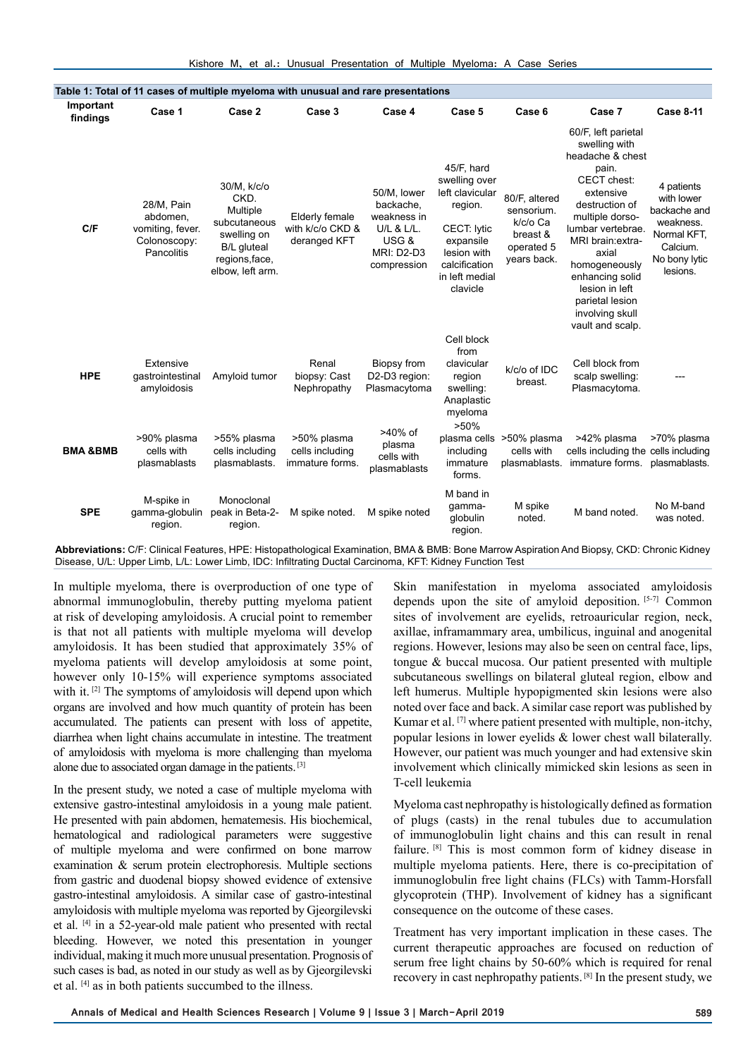| Table 1: Total of 11 cases of multiple myeloma with unusual and rare presentations |                                                                          |                                                                                                                            |                                                    |                                                                                                    |                                                                                                                                                            |                                                                                  |                                                                                                                                                                                                                                                                                                       |                                                                                                               |
|------------------------------------------------------------------------------------|--------------------------------------------------------------------------|----------------------------------------------------------------------------------------------------------------------------|----------------------------------------------------|----------------------------------------------------------------------------------------------------|------------------------------------------------------------------------------------------------------------------------------------------------------------|----------------------------------------------------------------------------------|-------------------------------------------------------------------------------------------------------------------------------------------------------------------------------------------------------------------------------------------------------------------------------------------------------|---------------------------------------------------------------------------------------------------------------|
| Important<br>findings                                                              | Case 1                                                                   | Case 2                                                                                                                     | Case 3                                             | Case 4                                                                                             | Case 5                                                                                                                                                     | Case 6                                                                           | Case 7                                                                                                                                                                                                                                                                                                | <b>Case 8-11</b>                                                                                              |
| C/F                                                                                | 28/M, Pain<br>abdomen,<br>vomiting, fever.<br>Colonoscopy:<br>Pancolitis | 30/M, k/c/o<br>CKD.<br>Multiple<br>subcutaneous<br>swelling on<br><b>B/L</b> gluteal<br>regions, face,<br>elbow, left arm. | Elderly female<br>with k/c/o CKD &<br>deranged KFT | 50/M, lower<br>backache,<br>weakness in<br>U/L & L/L.<br>USG &<br><b>MRI: D2-D3</b><br>compression | 45/F, hard<br>swelling over<br>left clavicular<br>region.<br><b>CECT: lytic</b><br>expansile<br>lesion with<br>calcification<br>in left medial<br>clavicle | 80/F, altered<br>sensorium.<br>k/c/o Ca<br>breast &<br>operated 5<br>years back. | 60/F, left parietal<br>swelling with<br>headache & chest<br>pain.<br>CECT chest:<br>extensive<br>destruction of<br>multiple dorso-<br>lumbar vertebrae.<br>MRI brain: extra-<br>axial<br>homogeneously<br>enhancing solid<br>lesion in left<br>parietal lesion<br>involving skull<br>vault and scalp. | 4 patients<br>with lower<br>backache and<br>weakness.<br>Normal KFT,<br>Calcium.<br>No bony lytic<br>lesions. |
| <b>HPE</b>                                                                         | Extensive<br>qastrointestinal<br>amyloidosis                             | Amyloid tumor                                                                                                              | Renal<br>biopsy: Cast<br>Nephropathy               | Biopsy from<br>D2-D3 region:<br>Plasmacytoma                                                       | Cell block<br>from<br>clavicular<br>region<br>swelling:<br>Anaplastic<br>myeloma                                                                           | k/c/o of IDC<br>breast.                                                          | Cell block from<br>scalp swelling:<br>Plasmacytoma.                                                                                                                                                                                                                                                   |                                                                                                               |
| <b>BMA &amp;BMB</b>                                                                | >90% plasma<br>cells with<br>plasmablasts                                | >55% plasma<br>cells including<br>plasmablasts.                                                                            | >50% plasma<br>cells including<br>immature forms.  | >40% of<br>plasma<br>cells with<br>plasmablasts                                                    | >50%<br>plasma cells<br>including<br>immature<br>forms.                                                                                                    | >50% plasma<br>cells with<br>plasmablasts.                                       | >42% plasma<br>cells including the cells including<br>immature forms.                                                                                                                                                                                                                                 | >70% plasma<br>plasmablasts.                                                                                  |
| <b>SPE</b>                                                                         | M-spike in<br>gamma-globulin<br>region.                                  | Monoclonal<br>peak in Beta-2-<br>region.                                                                                   | M spike noted.                                     | M spike noted                                                                                      | M band in<br>qamma-<br>globulin<br>region.                                                                                                                 | M spike<br>noted.                                                                | M band noted.                                                                                                                                                                                                                                                                                         | No M-band<br>was noted.                                                                                       |

**Abbreviations:** C/F: Clinical Features, HPE: Histopathological Examination, BMA & BMB: Bone Marrow Aspiration And Biopsy, CKD: Chronic Kidney Disease, U/L: Upper Limb, L/L: Lower Limb, IDC: Infiltrating Ductal Carcinoma, KFT: Kidney Function Test

In multiple myeloma, there is overproduction of one type of abnormal immunoglobulin, thereby putting myeloma patient at risk of developing amyloidosis. A crucial point to remember is that not all patients with multiple myeloma will develop amyloidosis. It has been studied that approximately 35% of myeloma patients will develop amyloidosis at some point, however only 10-15% will experience symptoms associated with it.<sup>[2]</sup> The symptoms of amyloidosis will depend upon which organs are involved and how much quantity of protein has been accumulated. The patients can present with loss of appetite, diarrhea when light chains accumulate in intestine. The treatment of amyloidosis with myeloma is more challenging than myeloma alone due to associated organ damage in the patients. [3]

In the present study, we noted a case of multiple myeloma with extensive gastro-intestinal amyloidosis in a young male patient. He presented with pain abdomen, hematemesis. His biochemical, hematological and radiological parameters were suggestive of multiple myeloma and were confirmed on bone marrow examination & serum protein electrophoresis. Multiple sections from gastric and duodenal biopsy showed evidence of extensive gastro-intestinal amyloidosis. A similar case of gastro-intestinal amyloidosis with multiple myeloma was reported by Gjeorgilevski et al. [4] in a 52-year-old male patient who presented with rectal bleeding. However, we noted this presentation in younger individual, making it much more unusual presentation. Prognosis of such cases is bad, as noted in our study as well as by Gjeorgilevski et al. [4] as in both patients succumbed to the illness.

Skin manifestation in myeloma associated amyloidosis depends upon the site of amyloid deposition. [5-7] Common sites of involvement are eyelids, retroauricular region, neck, axillae, inframammary area, umbilicus, inguinal and anogenital regions. However, lesions may also be seen on central face, lips, tongue & buccal mucosa. Our patient presented with multiple subcutaneous swellings on bilateral gluteal region, elbow and left humerus. Multiple hypopigmented skin lesions were also noted over face and back. A similar case report was published by Kumar et al. [7] where patient presented with multiple, non-itchy, popular lesions in lower eyelids & lower chest wall bilaterally. However, our patient was much younger and had extensive skin involvement which clinically mimicked skin lesions as seen in T-cell leukemia

Myeloma cast nephropathy is histologically defined as formation of plugs (casts) in the renal tubules due to accumulation of immunoglobulin light chains and this can result in renal failure. [8] This is most common form of kidney disease in multiple myeloma patients. Here, there is co-precipitation of immunoglobulin free light chains (FLCs) with Tamm-Horsfall glycoprotein (THP). Involvement of kidney has a significant consequence on the outcome of these cases.

Treatment has very important implication in these cases. The current therapeutic approaches are focused on reduction of serum free light chains by 50-60% which is required for renal recovery in cast nephropathy patients. [8] In the present study, we